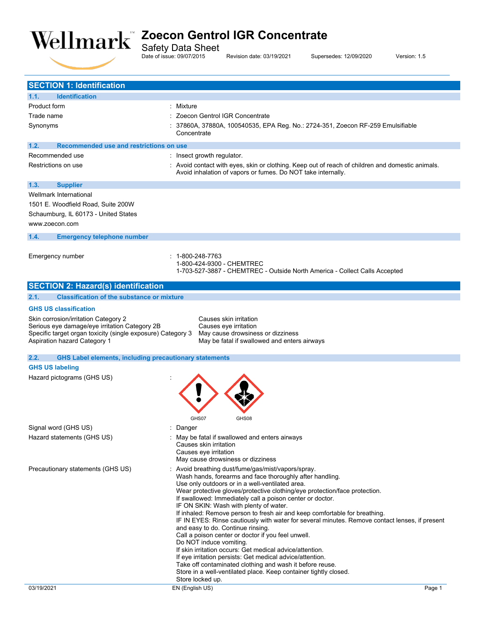

Safety Data Sheet

Date of issue: 09/07/2015 Revision date: 03/19/2021 Supersedes: 12/09/2020 Version: 1.5

| <b>SECTION 1: Identification</b>                                                            |                                                                                                                                                                  |
|---------------------------------------------------------------------------------------------|------------------------------------------------------------------------------------------------------------------------------------------------------------------|
| 1.1.<br><b>Identification</b>                                                               |                                                                                                                                                                  |
| <b>Product form</b>                                                                         | : Mixture                                                                                                                                                        |
| Trade name                                                                                  | : Zoecon Gentrol IGR Concentrate                                                                                                                                 |
| Synonyms                                                                                    | 37860A, 37880A, 100540535, EPA Reg. No.: 2724-351, Zoecon RF-259 Emulsifiable<br>Concentrate                                                                     |
| 1.2.<br>Recommended use and restrictions on use                                             |                                                                                                                                                                  |
| Recommended use                                                                             | : Insect growth regulator.                                                                                                                                       |
| Restrictions on use                                                                         | : Avoid contact with eyes, skin or clothing. Keep out of reach of children and domestic animals.<br>Avoid inhalation of vapors or fumes. Do NOT take internally. |
| 1.3.<br><b>Supplier</b>                                                                     |                                                                                                                                                                  |
| Wellmark International                                                                      |                                                                                                                                                                  |
| 1501 E. Woodfield Road, Suite 200W                                                          |                                                                                                                                                                  |
| Schaumburg, IL 60173 - United States                                                        |                                                                                                                                                                  |
| www.zoecon.com                                                                              |                                                                                                                                                                  |
| 1.4.<br><b>Emergency telephone number</b>                                                   |                                                                                                                                                                  |
|                                                                                             |                                                                                                                                                                  |
| Emergency number                                                                            | : 1-800-248-7763<br>1-800-424-9300 - CHEMTREC                                                                                                                    |
|                                                                                             | 1-703-527-3887 - CHEMTREC - Outside North America - Collect Calls Accepted                                                                                       |
| <b>SECTION 2: Hazard(s) identification</b>                                                  |                                                                                                                                                                  |
| 2.1.<br><b>Classification of the substance or mixture</b>                                   |                                                                                                                                                                  |
| <b>GHS US classification</b>                                                                |                                                                                                                                                                  |
| Skin corrosion/irritation Category 2                                                        | Causes skin irritation                                                                                                                                           |
| Serious eye damage/eye irritation Category 2B                                               | Causes eye irritation                                                                                                                                            |
| Specific target organ toxicity (single exposure) Category 3<br>Aspiration hazard Category 1 | May cause drowsiness or dizziness<br>May be fatal if swallowed and enters airways                                                                                |
|                                                                                             |                                                                                                                                                                  |
| 2.2.<br><b>GHS Label elements, including precautionary statements</b>                       |                                                                                                                                                                  |
| <b>GHS US labeling</b>                                                                      |                                                                                                                                                                  |
| Hazard pictograms (GHS US)                                                                  |                                                                                                                                                                  |
|                                                                                             |                                                                                                                                                                  |
|                                                                                             |                                                                                                                                                                  |
|                                                                                             |                                                                                                                                                                  |
|                                                                                             | GHS08<br>GHS07                                                                                                                                                   |
| Signal word (GHS US)                                                                        | Danger                                                                                                                                                           |
| Hazard statements (GHS US)                                                                  | May be fatal if swallowed and enters airways                                                                                                                     |
|                                                                                             | Causes skin irritation<br>Causes eye irritation                                                                                                                  |
|                                                                                             | May cause drowsiness or dizziness                                                                                                                                |
| Precautionary statements (GHS US)                                                           | : Avoid breathing dust/fume/gas/mist/vapors/spray.                                                                                                               |
|                                                                                             | Wash hands, forearms and face thoroughly after handling.                                                                                                         |
|                                                                                             | Use only outdoors or in a well-ventilated area.                                                                                                                  |
|                                                                                             | Wear protective gloves/protective clothing/eye protection/face protection.<br>If swallowed: Immediately call a poison center or doctor.                          |
|                                                                                             | IF ON SKIN: Wash with plenty of water.                                                                                                                           |
|                                                                                             | If inhaled: Remove person to fresh air and keep comfortable for breathing.                                                                                       |
|                                                                                             | IF IN EYES: Rinse cautiously with water for several minutes. Remove contact lenses, if present<br>and easy to do. Continue rinsing.                              |
|                                                                                             | Call a poison center or doctor if you feel unwell.                                                                                                               |
|                                                                                             | Do NOT induce vomiting.                                                                                                                                          |
|                                                                                             | If skin irritation occurs: Get medical advice/attention.<br>If eye irritation persists: Get medical advice/attention.                                            |
|                                                                                             | Take off contaminated clothing and wash it before reuse.                                                                                                         |
|                                                                                             | Store in a well-ventilated place. Keep container tightly closed.                                                                                                 |
|                                                                                             | Store locked up.                                                                                                                                                 |
| 03/19/2021                                                                                  | EN (English US)<br>Page 1                                                                                                                                        |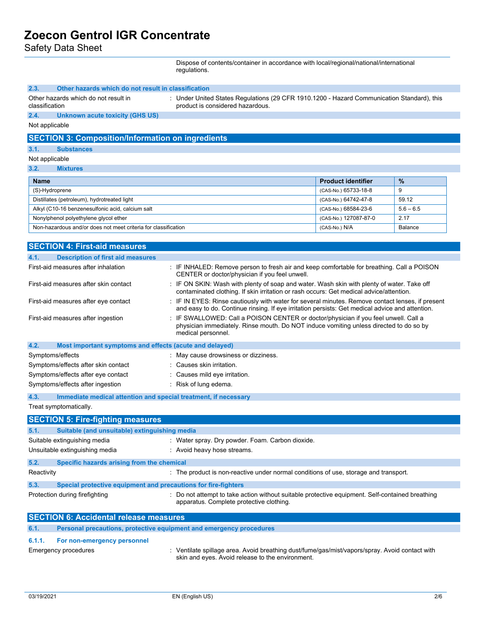Safety Data Sheet

Dispose of contents/container in accordance with local/regional/national/international regulations.

| 2.3.<br>Other hazards which do not result in classification<br>Other hazards which do not result in<br>: Under United States Regulations (29 CFR 1910.1200 - Hazard Communication Standard), this<br>product is considered hazardous.<br>classification |                                                                                                                                                                                                     |                           |             |
|---------------------------------------------------------------------------------------------------------------------------------------------------------------------------------------------------------------------------------------------------------|-----------------------------------------------------------------------------------------------------------------------------------------------------------------------------------------------------|---------------------------|-------------|
| 2.4.<br><b>Unknown acute toxicity (GHS US)</b>                                                                                                                                                                                                          |                                                                                                                                                                                                     |                           |             |
| Not applicable                                                                                                                                                                                                                                          |                                                                                                                                                                                                     |                           |             |
| <b>SECTION 3: Composition/Information on ingredients</b>                                                                                                                                                                                                |                                                                                                                                                                                                     |                           |             |
| 3.1.<br><b>Substances</b>                                                                                                                                                                                                                               |                                                                                                                                                                                                     |                           |             |
| Not applicable                                                                                                                                                                                                                                          |                                                                                                                                                                                                     |                           |             |
| 3.2.<br><b>Mixtures</b>                                                                                                                                                                                                                                 |                                                                                                                                                                                                     |                           |             |
| Name                                                                                                                                                                                                                                                    |                                                                                                                                                                                                     | <b>Product identifier</b> | %           |
| (S)-Hydroprene                                                                                                                                                                                                                                          |                                                                                                                                                                                                     | (CAS-No.) 65733-18-8      | 9           |
| Distillates (petroleum), hydrotreated light                                                                                                                                                                                                             |                                                                                                                                                                                                     | (CAS-No.) 64742-47-8      | 59.12       |
| Alkyl (C10-16 benzenesulfonic acid, calcium salt                                                                                                                                                                                                        |                                                                                                                                                                                                     | (CAS-No.) 68584-23-6      | $5.6 - 6.5$ |
| Nonylphenol polyethylene glycol ether                                                                                                                                                                                                                   |                                                                                                                                                                                                     | (CAS-No.) 127087-87-0     | 2.17        |
| Non-hazardous and/or does not meet criteria for classification                                                                                                                                                                                          |                                                                                                                                                                                                     | (CAS-No.) N/A             | Balance     |
|                                                                                                                                                                                                                                                         |                                                                                                                                                                                                     |                           |             |
| <b>SECTION 4: First-aid measures</b>                                                                                                                                                                                                                    |                                                                                                                                                                                                     |                           |             |
| 4.1.<br><b>Description of first aid measures</b>                                                                                                                                                                                                        |                                                                                                                                                                                                     |                           |             |
| First-aid measures after inhalation                                                                                                                                                                                                                     | : IF INHALED: Remove person to fresh air and keep comfortable for breathing. Call a POISON<br>CENTER or doctor/physician if you feel unwell.                                                        |                           |             |
| First-aid measures after skin contact                                                                                                                                                                                                                   | : IF ON SKIN: Wash with plenty of soap and water. Wash skin with plenty of water. Take off<br>contaminated clothing. If skin irritation or rash occurs: Get medical advice/attention.               |                           |             |
| First-aid measures after eye contact                                                                                                                                                                                                                    | IF IN EYES: Rinse cautiously with water for several minutes. Remove contact lenses, if present<br>and easy to do. Continue rinsing. If eye irritation persists: Get medical advice and attention.   |                           |             |
| First-aid measures after ingestion                                                                                                                                                                                                                      | : IF SWALLOWED: Call a POISON CENTER or doctor/physician if you feel unwell. Call a<br>physician immediately. Rinse mouth. Do NOT induce vomiting unless directed to do so by<br>medical personnel. |                           |             |
| 4.2.<br>Most important symptoms and effects (acute and delayed)                                                                                                                                                                                         |                                                                                                                                                                                                     |                           |             |
| Symptoms/effects                                                                                                                                                                                                                                        | May cause drowsiness or dizziness.                                                                                                                                                                  |                           |             |
| Symptoms/effects after skin contact                                                                                                                                                                                                                     | Causes skin irritation.                                                                                                                                                                             |                           |             |
| Symptoms/effects after eye contact                                                                                                                                                                                                                      | Causes mild eye irritation.                                                                                                                                                                         |                           |             |
| Symptoms/effects after ingestion                                                                                                                                                                                                                        | $\therefore$ Risk of lung edema.                                                                                                                                                                    |                           |             |
| 4.3.<br>Immediate medical attention and special treatment, if necessary                                                                                                                                                                                 |                                                                                                                                                                                                     |                           |             |
| Treat symptomatically.                                                                                                                                                                                                                                  |                                                                                                                                                                                                     |                           |             |
| <b>SECTION 5: Fire-fighting measures</b>                                                                                                                                                                                                                |                                                                                                                                                                                                     |                           |             |
| Suitable (and unsuitable) extinguishing media<br>5.1.                                                                                                                                                                                                   |                                                                                                                                                                                                     |                           |             |
| Suitable extinguishing media                                                                                                                                                                                                                            | : Water spray. Dry powder. Foam. Carbon dioxide.                                                                                                                                                    |                           |             |
| Unsuitable extinguishing media                                                                                                                                                                                                                          | : Avoid heavy hose streams.                                                                                                                                                                         |                           |             |
| 5.2.<br>Specific hazards arising from the chemical                                                                                                                                                                                                      |                                                                                                                                                                                                     |                           |             |
| Reactivity                                                                                                                                                                                                                                              | : The product is non-reactive under normal conditions of use, storage and transport.                                                                                                                |                           |             |
| 5.3.<br>Special protective equipment and precautions for fire-fighters                                                                                                                                                                                  |                                                                                                                                                                                                     |                           |             |
| Protection during firefighting                                                                                                                                                                                                                          | : Do not attempt to take action without suitable protective equipment. Self-contained breathing<br>apparatus. Complete protective clothing.                                                         |                           |             |
| <b>SECTION 6: Accidental release measures</b>                                                                                                                                                                                                           |                                                                                                                                                                                                     |                           |             |
| Personal precautions, protective equipment and emergency procedures<br>6.1.                                                                                                                                                                             |                                                                                                                                                                                                     |                           |             |
| 6.1.1.<br>For non-emergency personnel                                                                                                                                                                                                                   |                                                                                                                                                                                                     |                           |             |
| <b>Emergency procedures</b>                                                                                                                                                                                                                             | : Ventilate spillage area. Avoid breathing dust/fume/gas/mist/vapors/spray. Avoid contact with<br>skin and eyes. Avoid release to the environment.                                                  |                           |             |
|                                                                                                                                                                                                                                                         |                                                                                                                                                                                                     |                           |             |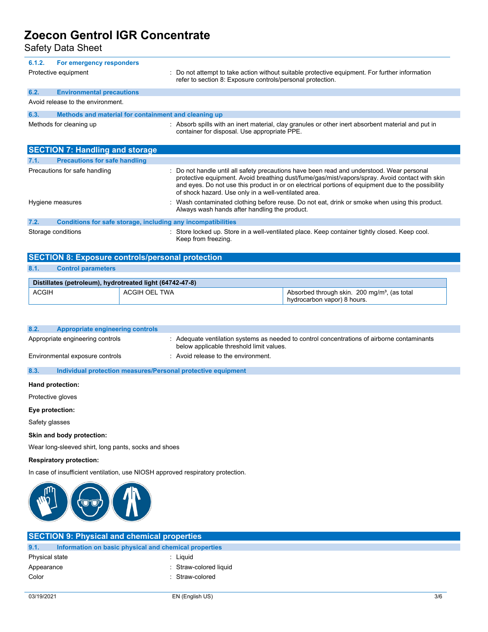| Safety Data Sheet                                                               |                      |                                                                                                                                                                                                                                                                                                                                                         |                                                                                                    |
|---------------------------------------------------------------------------------|----------------------|---------------------------------------------------------------------------------------------------------------------------------------------------------------------------------------------------------------------------------------------------------------------------------------------------------------------------------------------------------|----------------------------------------------------------------------------------------------------|
| 6.1.2.<br>For emergency responders<br>Protective equipment                      |                      | refer to section 8: Exposure controls/personal protection.                                                                                                                                                                                                                                                                                              | : Do not attempt to take action without suitable protective equipment. For further information     |
| 6.2.<br><b>Environmental precautions</b>                                        |                      |                                                                                                                                                                                                                                                                                                                                                         |                                                                                                    |
| Avoid release to the environment.                                               |                      |                                                                                                                                                                                                                                                                                                                                                         |                                                                                                    |
| 6.3.<br>Methods and material for containment and cleaning up                    |                      |                                                                                                                                                                                                                                                                                                                                                         |                                                                                                    |
| Methods for cleaning up                                                         |                      | container for disposal. Use appropriate PPE.                                                                                                                                                                                                                                                                                                            | : Absorb spills with an inert material, clay granules or other inert absorbent material and put in |
| <b>SECTION 7: Handling and storage</b>                                          |                      |                                                                                                                                                                                                                                                                                                                                                         |                                                                                                    |
| <b>Precautions for safe handling</b><br>7.1.                                    |                      |                                                                                                                                                                                                                                                                                                                                                         |                                                                                                    |
| Precautions for safe handling                                                   |                      | Do not handle until all safety precautions have been read and understood. Wear personal<br>protective equipment. Avoid breathing dust/fume/gas/mist/vapors/spray. Avoid contact with skin<br>and eyes. Do not use this product in or on electrical portions of equipment due to the possibility<br>of shock hazard. Use only in a well-ventilated area. |                                                                                                    |
| Hygiene measures                                                                |                      | Always wash hands after handling the product.                                                                                                                                                                                                                                                                                                           | : Wash contaminated clothing before reuse. Do not eat, drink or smoke when using this product.     |
| 7.2.                                                                            |                      | Conditions for safe storage, including any incompatibilities                                                                                                                                                                                                                                                                                            |                                                                                                    |
| Storage conditions                                                              |                      | Store locked up. Store in a well-ventilated place. Keep container tightly closed. Keep cool.<br>Keep from freezing.                                                                                                                                                                                                                                     |                                                                                                    |
| <b>SECTION 8: Exposure controls/personal protection</b>                         |                      |                                                                                                                                                                                                                                                                                                                                                         |                                                                                                    |
| 8.1.<br><b>Control parameters</b>                                               |                      |                                                                                                                                                                                                                                                                                                                                                         |                                                                                                    |
| Distillates (petroleum), hydrotreated light (64742-47-8)                        |                      |                                                                                                                                                                                                                                                                                                                                                         |                                                                                                    |
| <b>ACGIH</b>                                                                    | <b>ACGIH OEL TWA</b> |                                                                                                                                                                                                                                                                                                                                                         | Absorbed through skin. 200 mg/m <sup>3</sup> , (as total<br>hydrocarbon vapor) 8 hours.            |
|                                                                                 |                      |                                                                                                                                                                                                                                                                                                                                                         |                                                                                                    |
| 8.2.<br><b>Appropriate engineering controls</b>                                 |                      |                                                                                                                                                                                                                                                                                                                                                         |                                                                                                    |
| Appropriate engineering controls                                                |                      | : Adequate ventilation systems as needed to control concentrations of airborne contaminants<br>below applicable threshold limit values.                                                                                                                                                                                                                 |                                                                                                    |
| Environmental exposure controls                                                 |                      | : Avoid release to the environment.                                                                                                                                                                                                                                                                                                                     |                                                                                                    |
| 8.3.                                                                            |                      | Individual protection measures/Personal protective equipment                                                                                                                                                                                                                                                                                            |                                                                                                    |
| Hand protection:                                                                |                      |                                                                                                                                                                                                                                                                                                                                                         |                                                                                                    |
| Protective gloves                                                               |                      |                                                                                                                                                                                                                                                                                                                                                         |                                                                                                    |
| Eye protection:                                                                 |                      |                                                                                                                                                                                                                                                                                                                                                         |                                                                                                    |
| Safety glasses                                                                  |                      |                                                                                                                                                                                                                                                                                                                                                         |                                                                                                    |
| Skin and body protection:                                                       |                      |                                                                                                                                                                                                                                                                                                                                                         |                                                                                                    |
| Wear long-sleeved shirt, long pants, socks and shoes                            |                      |                                                                                                                                                                                                                                                                                                                                                         |                                                                                                    |
| <b>Respiratory protection:</b>                                                  |                      |                                                                                                                                                                                                                                                                                                                                                         |                                                                                                    |
| In case of insufficient ventilation, use NIOSH approved respiratory protection. |                      |                                                                                                                                                                                                                                                                                                                                                         |                                                                                                    |
|                                                                                 |                      |                                                                                                                                                                                                                                                                                                                                                         |                                                                                                    |



|                | <b>SECTION 9: Physical and chemical properties</b>    |                        |
|----------------|-------------------------------------------------------|------------------------|
| 9.1.           | Information on basic physical and chemical properties |                        |
| Physical state |                                                       | · Liquid               |
| Appearance     |                                                       | : Straw-colored liquid |
| Color          |                                                       | Straw-colored          |
|                |                                                       |                        |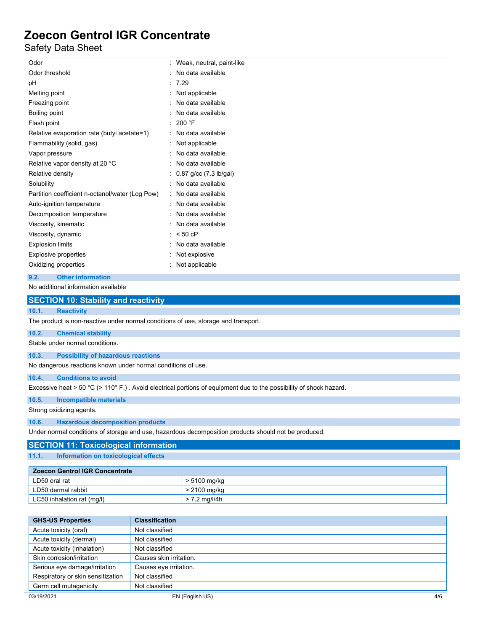Safety Data Sheet

| Odor                                            | Weak, neutral, paint-like |
|-------------------------------------------------|---------------------------|
| Odor threshold                                  | No data available         |
| рH                                              | 7.29                      |
| Melting point                                   | Not applicable            |
| Freezing point                                  | No data available         |
| Boiling point                                   | No data available         |
| Flash point                                     | 200 °F                    |
| Relative evaporation rate (butyl acetate=1)     | No data available         |
| Flammability (solid, gas)                       | Not applicable            |
| Vapor pressure                                  | No data available         |
| Relative vapor density at 20 °C                 | No data available         |
| Relative density                                | 0.87 g/cc (7.3 lb/gal)    |
| Solubility                                      | No data available         |
| Partition coefficient n-octanol/water (Log Pow) | No data available         |
| Auto-ignition temperature                       | No data available         |
| Decomposition temperature                       | No data available         |
| Viscosity, kinematic                            | No data available         |
| Viscosity, dynamic                              | $< 50$ cP                 |
| <b>Explosion limits</b>                         | No data available         |
| <b>Explosive properties</b>                     | Not explosive             |
| Oxidizing properties                            | Not applicable            |
|                                                 |                           |

### **9.2. Other information**

No additional information available

|       | <b>SECTION 10: Stability and reactivity</b>                                                                        |
|-------|--------------------------------------------------------------------------------------------------------------------|
| 10.1. | <b>Reactivity</b>                                                                                                  |
|       | The product is non-reactive under normal conditions of use, storage and transport.                                 |
| 10.2. | <b>Chemical stability</b>                                                                                          |
|       | Stable under normal conditions.                                                                                    |
| 10.3. | <b>Possibility of hazardous reactions</b>                                                                          |
|       | No dangerous reactions known under normal conditions of use.                                                       |
| 10.4. | <b>Conditions to avoid</b>                                                                                         |
|       | Excessive heat > 50 °C (> 110° F.). Avoid electrical portions of equipment due to the possibility of shock hazard. |
| 10.5. | Incompatible materials                                                                                             |
|       | Strong oxidizing agents.                                                                                           |
| 10.6. | <b>Hazardous decomposition products</b>                                                                            |
|       | Under normal conditions of storage and use, hazardous decomposition products should not be produced.               |
|       | <b>SECTION 11: Toxicological information</b>                                                                       |
| 11.1. | Information on toxicological effects                                                                               |

| <b>Zoecon Gentrol IGR Concentrate</b> |               |
|---------------------------------------|---------------|
| LD50 oral rat                         | > 5100 mg/kg  |
| LD50 dermal rabbit                    | > 2100 mg/kg  |
| LC50 inhalation rat (mg/l)            | > 7.2 mg/l/4h |

| <b>GHS-US Properties</b>          | <b>Classification</b>   |     |
|-----------------------------------|-------------------------|-----|
| Acute toxicity (oral)             | Not classified          |     |
| Acute toxicity (dermal)           | Not classified          |     |
| Acute toxicity (inhalation)       | Not classified          |     |
| Skin corrosion/irritation         | Causes skin irritation. |     |
| Serious eye damage/irritation     | Causes eye irritation.  |     |
| Respiratory or skin sensitization | Not classified          |     |
| Germ cell mutagenicity            | Not classified          |     |
| 03/19/2021                        | EN (English US)         | 4/6 |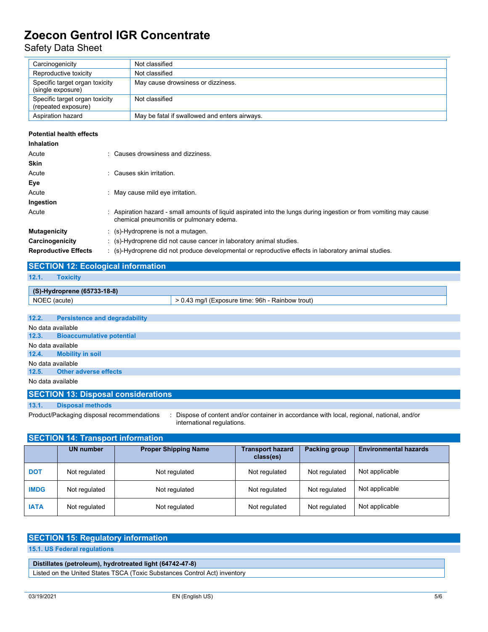Safety Data Sheet

| Carcinogenicity                                       | Not classified                                |
|-------------------------------------------------------|-----------------------------------------------|
| Reproductive toxicity                                 | Not classified                                |
| Specific target organ toxicity<br>(single exposure)   | May cause drowsiness or dizziness.            |
| Specific target organ toxicity<br>(repeated exposure) | Not classified                                |
| Aspiration hazard                                     | May be fatal if swallowed and enters airways. |

#### **Potential health effects**

| Inhalation                  |                                                                                                                                                                |
|-----------------------------|----------------------------------------------------------------------------------------------------------------------------------------------------------------|
| Acute                       | Causes drowsiness and dizziness.                                                                                                                               |
| <b>Skin</b>                 |                                                                                                                                                                |
| Acute                       | : Causes skin irritation.                                                                                                                                      |
| Eye                         |                                                                                                                                                                |
| Acute                       | May cause mild eye irritation.                                                                                                                                 |
| Ingestion                   |                                                                                                                                                                |
| Acute                       | : Aspiration hazard - small amounts of liquid aspirated into the lungs during ingestion or from vomiting may cause<br>chemical pneumonitis or pulmonary edema. |
| <b>Mutagenicity</b>         | $\therefore$ (s)-Hydroprene is not a mutagen.                                                                                                                  |
| Carcinogenicity             | : (s)-Hydroprene did not cause cancer in laboratory animal studies.                                                                                            |
| <b>Reproductive Effects</b> | (s)-Hydroprene did not produce developmental or reproductive effects in laboratory animal studies.                                                             |

|       | <b>SECTION 12: Ecological information</b> |                                                  |
|-------|-------------------------------------------|--------------------------------------------------|
| 12.1. | <b>Toxicity</b>                           |                                                  |
|       |                                           |                                                  |
|       | (S)-Hydroprene (65733-18-8)               |                                                  |
|       | NOEC (acute)                              | > 0.43 mg/l (Exposure time: 96h - Rainbow trout) |
|       |                                           |                                                  |
| 12.2. | <b>Persistence and degradability</b>      |                                                  |
|       | No data available                         |                                                  |

| no autu uvulluplo |                                 |  |  |
|-------------------|---------------------------------|--|--|
|                   | 12.3. Bioaccumulative potential |  |  |
| No data available |                                 |  |  |
|                   | 12.4. Mobility in soil          |  |  |
| No data available |                                 |  |  |
|                   | 12.5. Other adverse effects     |  |  |
|                   | No data available               |  |  |

#### **SECTION 13: Disposal considerations**

**13.1. Disposal methods**

Product/Packaging disposal recommendations : Dispose of content and/or container in accordance with local, regional, national, and/or international regulations.

| <b>SECTION 14: Transport information</b> |                  |                             |                                      |                      |                              |  |  |
|------------------------------------------|------------------|-----------------------------|--------------------------------------|----------------------|------------------------------|--|--|
|                                          | <b>UN number</b> | <b>Proper Shipping Name</b> | <b>Transport hazard</b><br>class(es) | <b>Packing group</b> | <b>Environmental hazards</b> |  |  |
| <b>DOT</b>                               | Not regulated    | Not regulated               | Not regulated                        | Not regulated        | Not applicable               |  |  |
| <b>IMDG</b>                              | Not regulated    | Not regulated               | Not regulated                        | Not regulated        | Not applicable               |  |  |
| <b>IATA</b>                              | Not regulated    | Not regulated               | Not regulated                        | Not regulated        | Not applicable               |  |  |

#### **SECTION 15: Regulatory information**

**15.1. US Federal regulations**

#### **Distillates (petroleum), hydrotreated light (64742-47-8)**

Listed on the United States TSCA (Toxic Substances Control Act) inventory